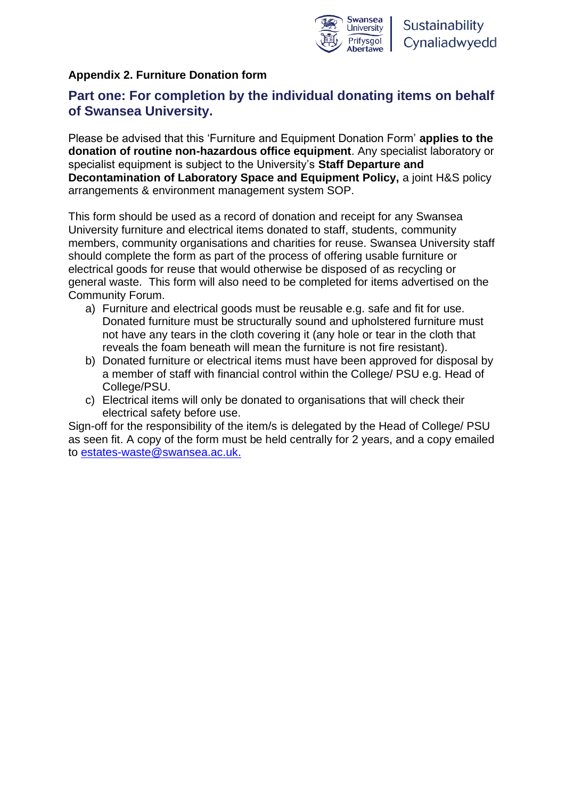

## **Appendix 2. Furniture Donation form**

# **Part one: For completion by the individual donating items on behalf of Swansea University.**

Please be advised that this 'Furniture and Equipment Donation Form' **applies to the donation of routine non-hazardous office equipment**. Any specialist laboratory or specialist equipment is subject to the University's **Staff Departure and Decontamination of Laboratory Space and Equipment Policy,** a joint H&S policy arrangements & environment management system SOP.

This form should be used as a record of donation and receipt for any Swansea University furniture and electrical items donated to staff, students, community members, community organisations and charities for reuse. Swansea University staff should complete the form as part of the process of offering usable furniture or electrical goods for reuse that would otherwise be disposed of as recycling or general waste. This form will also need to be completed for items advertised on the Community Forum.

- a) Furniture and electrical goods must be reusable e.g. safe and fit for use. Donated furniture must be structurally sound and upholstered furniture must not have any tears in the cloth covering it (any hole or tear in the cloth that reveals the foam beneath will mean the furniture is not fire resistant).
- b) Donated furniture or electrical items must have been approved for disposal by a member of staff with financial control within the College/ PSU e.g. Head of College/PSU.
- c) Electrical items will only be donated to organisations that will check their electrical safety before use.

Sign-off for the responsibility of the item/s is delegated by the Head of College/ PSU as seen fit. A copy of the form must be held centrally for 2 years, and a copy emailed to [estates-waste@swansea.ac.uk.](mailto:estates-waste@swansea.ac.uk)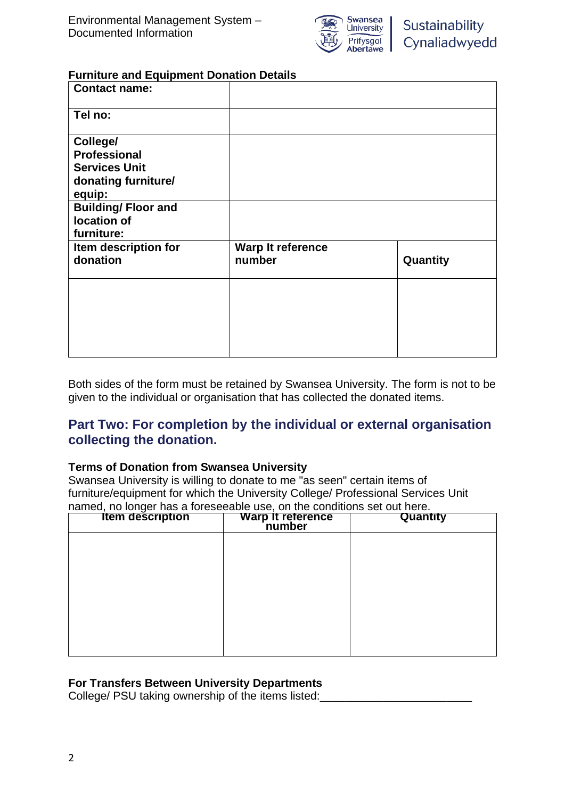

#### **Furniture and Equipment Donation Details**

| <b>Contact name:</b>                                                                     |                             |          |
|------------------------------------------------------------------------------------------|-----------------------------|----------|
| Tel no:                                                                                  |                             |          |
| College/<br><b>Professional</b><br><b>Services Unit</b><br>donating furniture/<br>equip: |                             |          |
| <b>Building/Floor and</b><br>location of<br>furniture:                                   |                             |          |
| Item description for<br>donation                                                         | Warp It reference<br>number | Quantity |
|                                                                                          |                             |          |

Both sides of the form must be retained by Swansea University. The form is not to be given to the individual or organisation that has collected the donated items.

# **Part Two: For completion by the individual or external organisation collecting the donation.**

### **Terms of Donation from Swansea University**

Swansea University is willing to donate to me "as seen" certain items of furniture/equipment for which the University College/ Professional Services Unit named, no longer has a foreseeable use, on the conditions set out here.

| <b>Item description</b> | Warp It reference | Quantity |
|-------------------------|-------------------|----------|
|                         |                   |          |
|                         |                   |          |
|                         |                   |          |
|                         |                   |          |
|                         |                   |          |
|                         |                   |          |

### **For Transfers Between University Departments**

College/ PSU taking ownership of the items listed: